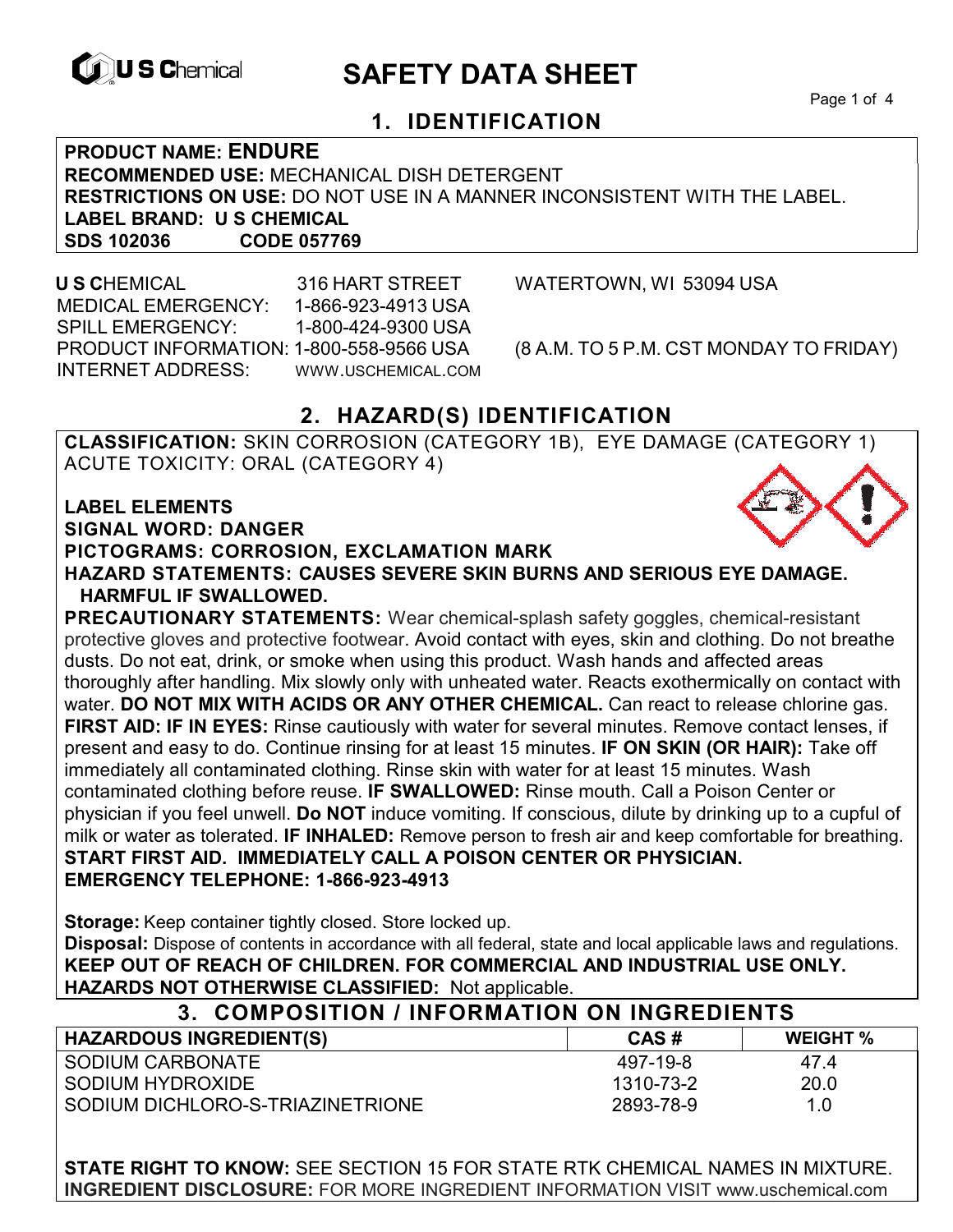

# **EXAGREM** SAFETY DATA SHEET

Page 1 of 4

#### **1. IDENTIFICATION**

**PRODUCT NAME: ENDURE RECOMMENDED USE:** MECHANICAL DISH DETERGENT **RESTRICTIONS ON USE:** DO NOT USE IN A MANNER INCONSISTENT WITH THE LABEL. **LABEL BRAND: U S CHEMICAL SDS 102036 CODE 057769** 

 **U S C**HEMICAL 316 HART STREET WATERTOWN, WI 53094 USA MEDICAL EMERGENCY: 1-866-923-4913 USA SPILL EMERGENCY: 1-800-424-9300 USA PRODUCT INFORMATION: 1-800-558-9566 USA (8 A.M. TO 5 P.M. CST MONDAY TO FRIDAY) INTERNET ADDRESS: WWW.USCHEMICAL.COM

### **2. HAZARD(S) IDENTIFICATION**

**CLASSIFICATION:** SKIN CORROSION (CATEGORY 1B), EYE DAMAGE (CATEGORY 1) ACUTE TOXICITY: ORAL (CATEGORY 4)

**LABEL ELEMENTS SIGNAL WORD: DANGER PICTOGRAMS: CORROSION, EXCLAMATION MARK HAZARD STATEMENTS: CAUSES SEVERE SKIN BURNS AND SERIOUS EYE DAMAGE. HARMFUL IF SWALLOWED.** 

**PRECAUTIONARY STATEMENTS:** Wear chemical-splash safety goggles, chemical-resistant protective gloves and protective footwear. Avoid contact with eyes, skin and clothing. Do not breathe dusts. Do not eat, drink, or smoke when using this product. Wash hands and affected areas thoroughly after handling. Mix slowly only with unheated water. Reacts exothermically on contact with water. **DO NOT MIX WITH ACIDS OR ANY OTHER CHEMICAL.** Can react to release chlorine gas. **FIRST AID: IF IN EYES:** Rinse cautiously with water for several minutes. Remove contact lenses, if present and easy to do. Continue rinsing for at least 15 minutes. **IF ON SKIN (OR HAIR):** Take off immediately all contaminated clothing. Rinse skin with water for at least 15 minutes. Wash contaminated clothing before reuse. **IF SWALLOWED:** Rinse mouth. Call a Poison Center or physician if you feel unwell. **Do NOT** induce vomiting. If conscious, dilute by drinking up to a cupful of milk or water as tolerated. **IF INHALED:** Remove person to fresh air and keep comfortable for breathing. **START FIRST AID. IMMEDIATELY CALL A POISON CENTER OR PHYSICIAN. EMERGENCY TELEPHONE: 1-866-923-4913** 

**Storage:** Keep container tightly closed. Store locked up. **Disposal:** Dispose of contents in accordance with all federal, state and local applicable laws and regulations. **KEEP OUT OF REACH OF CHILDREN. FOR COMMERCIAL AND INDUSTRIAL USE ONLY. HAZARDS NOT OTHERWISE CLASSIFIED:** Not applicable.

| 3. COMPOSITION / INFORMATION ON INGREDIENTS |           |                 |  |
|---------------------------------------------|-----------|-----------------|--|
| <b>HAZARDOUS INGREDIENT(S)</b>              | CAS#      | <b>WEIGHT</b> % |  |
| SODIUM CARBONATE                            | 497-19-8  | 47.4            |  |
| SODIUM HYDROXIDE                            | 1310-73-2 | 20.0            |  |
| SODIUM DICHLORO-S-TRIAZINETRIONE            | 2893-78-9 | 1.0             |  |

**STATE RIGHT TO KNOW:** SEE SECTION 15 FOR STATE RTK CHEMICAL NAMES IN MIXTURE. **INGREDIENT DISCLOSURE:** FOR MORE INGREDIENT INFORMATION VISIT www.uschemical.com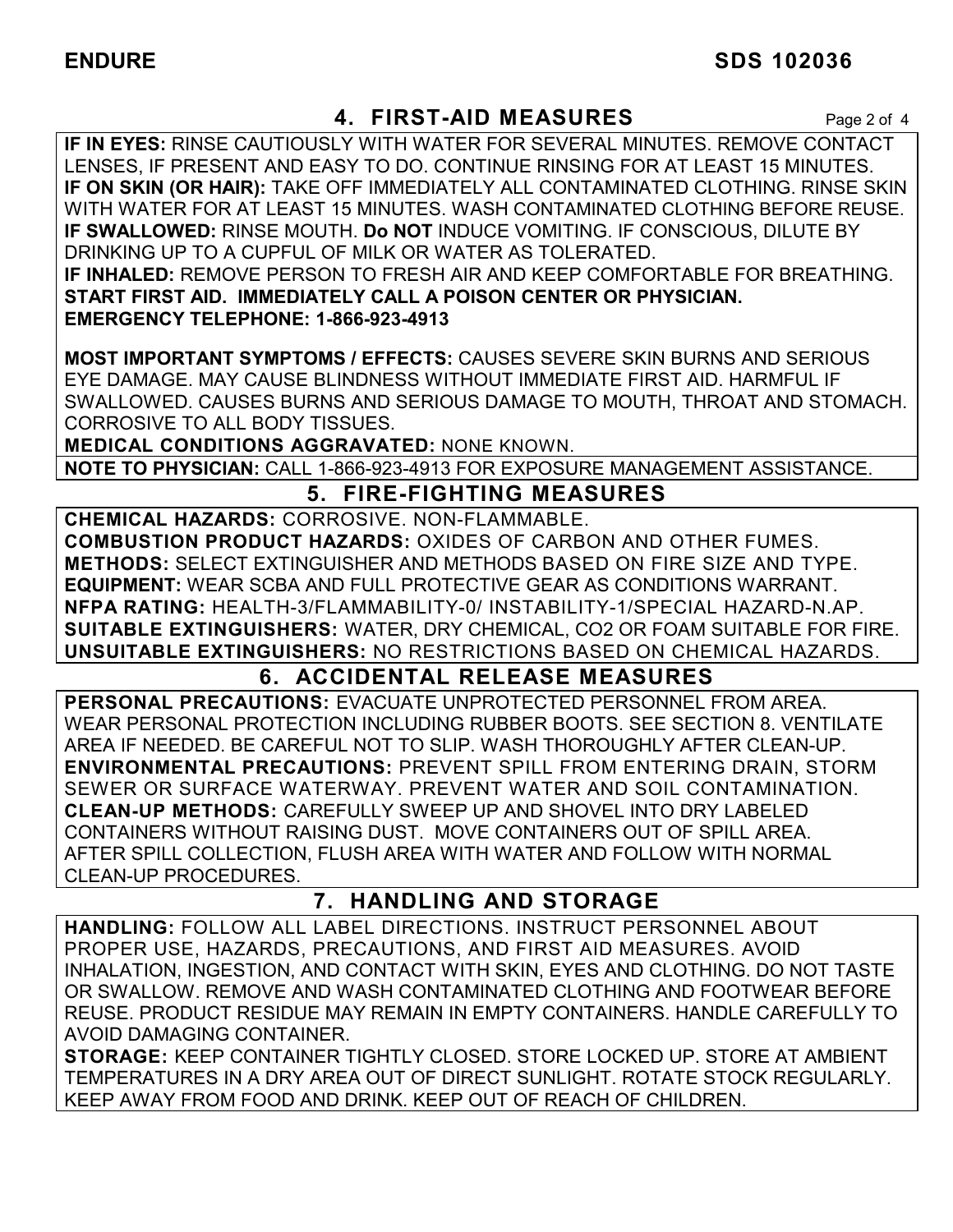#### **4. FIRST-AID MEASURES** Page 2 of 4

**IF IN EYES:** RINSE CAUTIOUSLY WITH WATER FOR SEVERAL MINUTES. REMOVE CONTACT LENSES, IF PRESENT AND EASY TO DO. CONTINUE RINSING FOR AT LEAST 15 MINUTES. **IF ON SKIN (OR HAIR):** TAKE OFF IMMEDIATELY ALL CONTAMINATED CLOTHING. RINSE SKIN WITH WATER FOR AT LEAST 15 MINUTES. WASH CONTAMINATED CLOTHING BEFORE REUSE. **IF SWALLOWED:** RINSE MOUTH. **Do NOT** INDUCE VOMITING. IF CONSCIOUS, DILUTE BY DRINKING UP TO A CUPFUL OF MILK OR WATER AS TOLERATED. **IF INHALED:** REMOVE PERSON TO FRESH AIR AND KEEP COMFORTABLE FOR BREATHING. **START FIRST AID. IMMEDIATELY CALL A POISON CENTER OR PHYSICIAN. EMERGENCY TELEPHONE: 1-866-923-4913**

**MOST IMPORTANT SYMPTOMS / EFFECTS:** CAUSES SEVERE SKIN BURNS AND SERIOUS EYE DAMAGE. MAY CAUSE BLINDNESS WITHOUT IMMEDIATE FIRST AID. HARMFUL IF SWALLOWED. CAUSES BURNS AND SERIOUS DAMAGE TO MOUTH, THROAT AND STOMACH. CORROSIVE TO ALL BODY TISSUES.

**MEDICAL CONDITIONS AGGRAVATED:** NONE KNOWN.

**NOTE TO PHYSICIAN:** CALL 1-866-923-4913 FOR EXPOSURE MANAGEMENT ASSISTANCE.

### **5. FIRE-FIGHTING MEASURES**

**CHEMICAL HAZARDS:** CORROSIVE. NON-FLAMMABLE. **COMBUSTION PRODUCT HAZARDS:** OXIDES OF CARBON AND OTHER FUMES. **METHODS:** SELECT EXTINGUISHER AND METHODS BASED ON FIRE SIZE AND TYPE. **EQUIPMENT:** WEAR SCBA AND FULL PROTECTIVE GEAR AS CONDITIONS WARRANT. **NFPA RATING:** HEALTH-3/FLAMMABILITY-0/ INSTABILITY-1/SPECIAL HAZARD-N.AP. **SUITABLE EXTINGUISHERS:** WATER, DRY CHEMICAL, CO2 OR FOAM SUITABLE FOR FIRE. **UNSUITABLE EXTINGUISHERS:** NO RESTRICTIONS BASED ON CHEMICAL HAZARDS.

### **6. ACCIDENTAL RELEASE MEASURES**

**PERSONAL PRECAUTIONS:** EVACUATE UNPROTECTED PERSONNEL FROM AREA. WEAR PERSONAL PROTECTION INCLUDING RUBBER BOOTS. SEE SECTION 8. VENTILATE AREA IF NEEDED. BE CAREFUL NOT TO SLIP. WASH THOROUGHLY AFTER CLEAN-UP. **ENVIRONMENTAL PRECAUTIONS:** PREVENT SPILL FROM ENTERING DRAIN, STORM SEWER OR SURFACE WATERWAY. PREVENT WATER AND SOIL CONTAMINATION. **CLEAN-UP METHODS:** CAREFULLY SWEEP UP AND SHOVEL INTO DRY LABELED CONTAINERS WITHOUT RAISING DUST. MOVE CONTAINERS OUT OF SPILL AREA. AFTER SPILL COLLECTION, FLUSH AREA WITH WATER AND FOLLOW WITH NORMAL CLEAN-UP PROCEDURES.

#### **7. HANDLING AND STORAGE**

**HANDLING:** FOLLOW ALL LABEL DIRECTIONS. INSTRUCT PERSONNEL ABOUT PROPER USE, HAZARDS, PRECAUTIONS, AND FIRST AID MEASURES. AVOID INHALATION, INGESTION, AND CONTACT WITH SKIN, EYES AND CLOTHING. DO NOT TASTE OR SWALLOW. REMOVE AND WASH CONTAMINATED CLOTHING AND FOOTWEAR BEFORE REUSE. PRODUCT RESIDUE MAY REMAIN IN EMPTY CONTAINERS. HANDLE CAREFULLY TO AVOID DAMAGING CONTAINER.

**STORAGE:** KEEP CONTAINER TIGHTLY CLOSED. STORE LOCKED UP. STORE AT AMBIENT TEMPERATURES IN A DRY AREA OUT OF DIRECT SUNLIGHT. ROTATE STOCK REGULARLY. KEEP AWAY FROM FOOD AND DRINK. KEEP OUT OF REACH OF CHILDREN.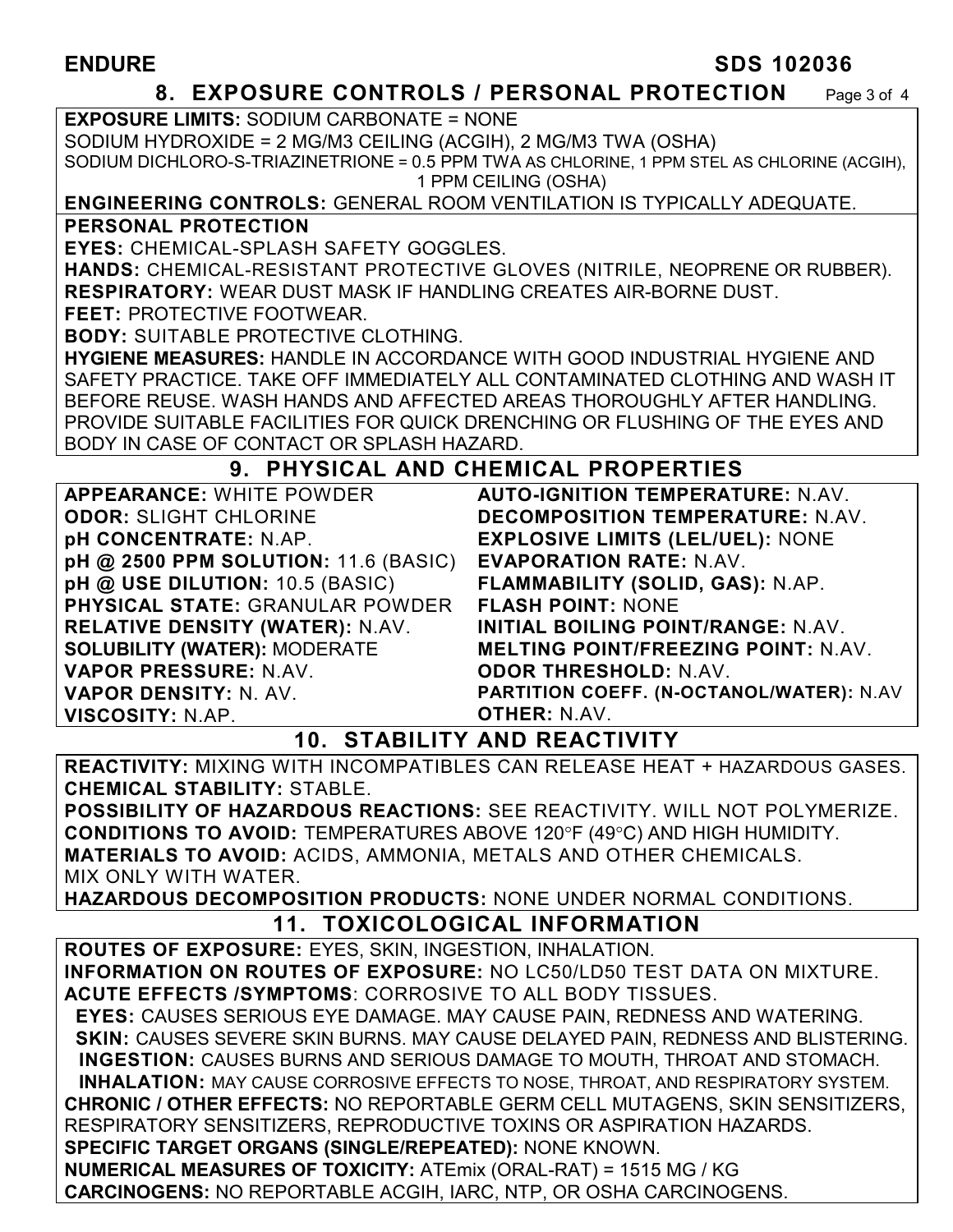#### **ENDURE** SDS 102036

#### **8. EXPOSURE CONTROLS / PERSONAL PROTECTION** Page 3 of 4

**EXPOSURE LIMITS:** SODIUM CARBONATE = NONE SODIUM HYDROXIDE = 2 MG/M3 CEILING (ACGIH), 2 MG/M3 TWA (OSHA) SODIUM DICHLORO-S-TRIAZINETRIONE = 0.5 PPM TWA AS CHLORINE, 1 PPM STEL AS CHLORINE (ACGIH), 1 PPM CEILING (OSHA)

#### **ENGINEERING CONTROLS:** GENERAL ROOM VENTILATION IS TYPICALLY ADEQUATE. **PERSONAL PROTECTION**

**EYES:** CHEMICAL-SPLASH SAFETY GOGGLES.

**HANDS:** CHEMICAL-RESISTANT PROTECTIVE GLOVES (NITRILE, NEOPRENE OR RUBBER). **RESPIRATORY:** WEAR DUST MASK IF HANDLING CREATES AIR-BORNE DUST.

**FEET:** PROTECTIVE FOOTWEAR.

**BODY:** SUITABLE PROTECTIVE CLOTHING.

**HYGIENE MEASURES:** HANDLE IN ACCORDANCE WITH GOOD INDUSTRIAL HYGIENE AND SAFETY PRACTICE. TAKE OFF IMMEDIATELY ALL CONTAMINATED CLOTHING AND WASH IT BEFORE REUSE. WASH HANDS AND AFFECTED AREAS THOROUGHLY AFTER HANDLING. PROVIDE SUITABLE FACILITIES FOR QUICK DRENCHING OR FLUSHING OF THE EYES AND BODY IN CASE OF CONTACT OR SPLASH HAZARD.

#### **9. PHYSICAL AND CHEMICAL PROPERTIES**

**APPEARANCE:** WHITE POWDER **ODOR:** SLIGHT CHLORINE **pH CONCENTRATE:** N.AP. **pH @ 2500 PPM SOLUTION:** 11.6 (BASIC) **pH @ USE DILUTION:** 10.5 (BASIC) **PHYSICAL STATE:** GRANULAR POWDER **RELATIVE DENSITY (WATER):** N.AV. **SOLUBILITY (WATER):** MODERATE **VAPOR PRESSURE:** N.AV. **VAPOR DENSITY:** N. AV. **VISCOSITY:** N.AP. **OTHER:** N.AV.

**AUTO-IGNITION TEMPERATURE:** N.AV. **DECOMPOSITION TEMPERATURE:** N.AV. **EXPLOSIVE LIMITS (LEL/UEL):** NONE **EVAPORATION RATE:** N.AV. **FLAMMABILITY (SOLID, GAS):** N.AP. **FLASH POINT:** NONE **INITIAL BOILING POINT/RANGE:** N.AV. **MELTING POINT/FREEZING POINT:** N.AV. **ODOR THRESHOLD:** N.AV. **PARTITION COEFF. (N-OCTANOL/WATER):** N.AV

#### **10. STABILITY AND REACTIVITY**

**REACTIVITY:** MIXING WITH INCOMPATIBLES CAN RELEASE HEAT + HAZARDOUS GASES. **CHEMICAL STABILITY:** STABLE.

**POSSIBILITY OF HAZARDOUS REACTIONS:** SEE REACTIVITY. WILL NOT POLYMERIZE. **CONDITIONS TO AVOID: TEMPERATURES ABOVE 120°F (49°C) AND HIGH HUMIDITY. MATERIALS TO AVOID:** ACIDS, AMMONIA, METALS AND OTHER CHEMICALS. MIX ONLY WITH WATER.

**HAZARDOUS DECOMPOSITION PRODUCTS:** NONE UNDER NORMAL CONDITIONS.

## **11. TOXICOLOGICAL INFORMATION**

**ROUTES OF EXPOSURE:** EYES, SKIN, INGESTION, INHALATION. **INFORMATION ON ROUTES OF EXPOSURE:** NO LC50/LD50 TEST DATA ON MIXTURE. **ACUTE EFFECTS /SYMPTOMS**: CORROSIVE TO ALL BODY TISSUES.  **EYES:** CAUSES SERIOUS EYE DAMAGE. MAY CAUSE PAIN, REDNESS AND WATERING.  **SKIN:** CAUSES SEVERE SKIN BURNS. MAY CAUSE DELAYED PAIN, REDNESS AND BLISTERING. **INGESTION:** CAUSES BURNS AND SERIOUS DAMAGE TO MOUTH, THROAT AND STOMACH. **INHALATION:** MAY CAUSE CORROSIVE EFFECTS TO NOSE, THROAT, AND RESPIRATORY SYSTEM. **CHRONIC / OTHER EFFECTS:** NO REPORTABLE GERM CELL MUTAGENS, SKIN SENSITIZERS, RESPIRATORY SENSITIZERS, REPRODUCTIVE TOXINS OR ASPIRATION HAZARDS. **SPECIFIC TARGET ORGANS (SINGLE/REPEATED):** NONE KNOWN. **NUMERICAL MEASURES OF TOXICITY:** ATEmix (ORAL-RAT) = 1515 MG / KG **CARCINOGENS:** NO REPORTABLE ACGIH, IARC, NTP, OR OSHA CARCINOGENS.